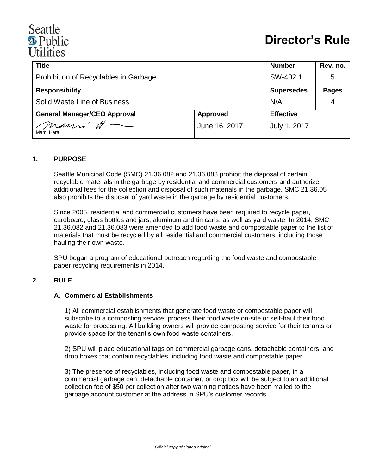# Seattle <sup><sup>®</sup> Public</sup> *<u>IItilities*</u>

| <b>Title</b>                          |                 | <b>Number</b>     | Rev. no.     |
|---------------------------------------|-----------------|-------------------|--------------|
| Prohibition of Recyclables in Garbage |                 | SW-402.1          | 5            |
| <b>Responsibility</b>                 |                 | <b>Supersedes</b> | <b>Pages</b> |
| Solid Waste Line of Business          |                 | N/A               | 4            |
| <b>General Manager/CEO Approval</b>   | <b>Approved</b> | <b>Effective</b>  |              |
| mann H<br>Mami Hara                   | June 16, 2017   | July 1, 2017      |              |

### **1. PURPOSE**

Seattle Municipal Code (SMC) 21.36.082 and 21.36.083 prohibit the disposal of certain recyclable materials in the garbage by residential and commercial customers and authorize additional fees for the collection and disposal of such materials in the garbage. SMC 21.36.05 also prohibits the disposal of yard waste in the garbage by residential customers.

Since 2005, residential and commercial customers have been required to recycle paper, cardboard, glass bottles and jars, aluminum and tin cans, as well as yard waste. In 2014, SMC 21.36.082 and 21.36.083 were amended to add food waste and compostable paper to the list of materials that must be recycled by all residential and commercial customers, including those hauling their own waste.

SPU began a program of educational outreach regarding the food waste and compostable paper recycling requirements in 2014.

### **2. RULE**

#### **A. Commercial Establishments**

1) All commercial establishments that generate food waste or compostable paper will subscribe to a composting service, process their food waste on-site or self-haul their food waste for processing. All building owners will provide composting service for their tenants or provide space for the tenant's own food waste containers.

2) SPU will place educational tags on commercial garbage cans, detachable containers, and drop boxes that contain recyclables, including food waste and compostable paper.

3) The presence of recyclables, including food waste and compostable paper, in a commercial garbage can, detachable container, or drop box will be subject to an additional collection fee of \$50 per collection after two warning notices have been mailed to the garbage account customer at the address in SPU's customer records.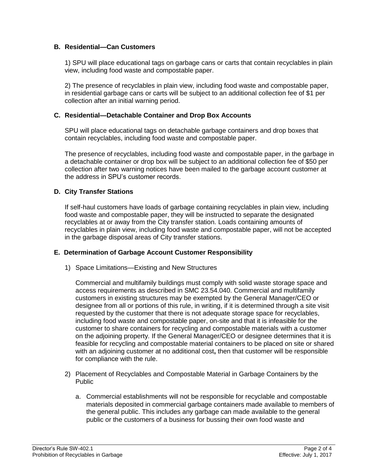## **B. Residential—Can Customers**

1) SPU will place educational tags on garbage cans or carts that contain recyclables in plain view, including food waste and compostable paper.

2) The presence of recyclables in plain view, including food waste and compostable paper, in residential garbage cans or carts will be subject to an additional collection fee of \$1 per collection after an initial warning period.

### **C. Residential—Detachable Container and Drop Box Accounts**

SPU will place educational tags on detachable garbage containers and drop boxes that contain recyclables, including food waste and compostable paper.

The presence of recyclables, including food waste and compostable paper, in the garbage in a detachable container or drop box will be subject to an additional collection fee of \$50 per collection after two warning notices have been mailed to the garbage account customer at the address in SPU's customer records.

## **D. City Transfer Stations**

If self-haul customers have loads of garbage containing recyclables in plain view, including food waste and compostable paper, they will be instructed to separate the designated recyclables at or away from the City transfer station. Loads containing amounts of recyclables in plain view, including food waste and compostable paper, will not be accepted in the garbage disposal areas of City transfer stations.

### **E. Determination of Garbage Account Customer Responsibility**

1) Space Limitations—Existing and New Structures

Commercial and multifamily buildings must comply with solid waste storage space and access requirements as described in SMC 23.54.040. Commercial and multifamily customers in existing structures may be exempted by the General Manager/CEO or designee from all or portions of this rule, in writing, if it is determined through a site visit requested by the customer that there is not adequate storage space for recyclables, including food waste and compostable paper, on-site and that it is infeasible for the customer to share containers for recycling and compostable materials with a customer on the adjoining property*.* If the General Manager/CEO or designee determines that it is feasible for recycling and compostable material containers to be placed on site or shared with an adjoining customer at no additional cost**,** then that customer will be responsible for compliance with the rule.

- 2) Placement of Recyclables and Compostable Material in Garbage Containers by the Public
	- a. Commercial establishments will not be responsible for recyclable and compostable materials deposited in commercial garbage containers made available to members of the general public. This includes any garbage can made available to the general public or the customers of a business for bussing their own food waste and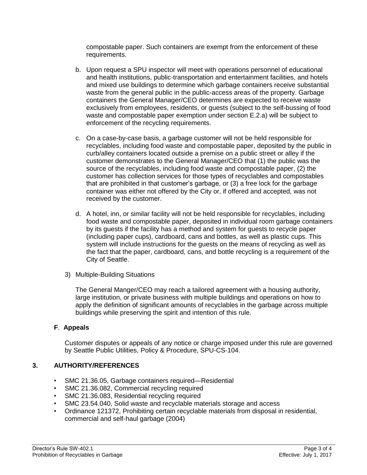compostable paper. Such containers are exempt from the enforcement of these requirements.

- b. Upon request a SPU inspector will meet with operations personnel of educational and health institutions, public-transportation and entertainment facilities, and hotels and mixed use buildings to determine which garbage containers receive substantial waste from the general public in the public-access areas of the property. Garbage containers the General Manager/CEO determines are expected to receive waste exclusively from employees, residents, or guests (subject to the self-bussing of food waste and compostable paper exemption under section E.2.a) will be subject to enforcement of the recycling requirements.
- c. On a case-by-case basis, a garbage customer will not be held responsible for recyclables, including food waste and compostable paper, deposited by the public in curb/alley containers located outside a premise on a public street or alley if the customer demonstrates to the General Manager/CEO that (1) the public was the source of the recyclables, including food waste and compostable paper, (2) the customer has collection services for those types of recyclables and compostables that are prohibited in that customer's garbage, or (3) a free lock for the garbage container was either not offered by the City or, if offered and accepted, was not received by the customer.
- d. A hotel, inn, or similar facility will not be held responsible for recyclables, including food waste and compostable paper, deposited in individual room garbage containers by its guests if the facility has a method and system for guests to recycle paper (including paper cups), cardboard, cans and bottles, as well as plastic cups. This system will include instructions for the guests on the means of recycling as well as the fact that the paper, cardboard, cans, and bottle recycling is a requirement of the City of Seattle.
- 3) Multiple-Building Situations

The General Manger/CEO may reach a tailored agreement with a housing authority, large institution, or private business with multiple buildings and operations on how to apply the definition of significant amounts of recyclables in the garbage across multiple buildings while preserving the spirit and intention of this rule.

## **F**. **Appeals**

Customer disputes or appeals of any notice or charge imposed under this rule are governed by Seattle Public Utilities, Policy & Procedure, SPU-CS-104.

## **3. AUTHORITY/REFERENCES**

- SMC 21.36.05, Garbage containers required—Residential
- SMC 21.36.082, Commercial recycling required
- SMC 21.36.083, Residential recycling required
- SMC 23.54.040, Solid waste and recyclable materials storage and access
- Ordinance 121372, Prohibiting certain recyclable materials from disposal in residential, commercial and self-haul garbage (2004)